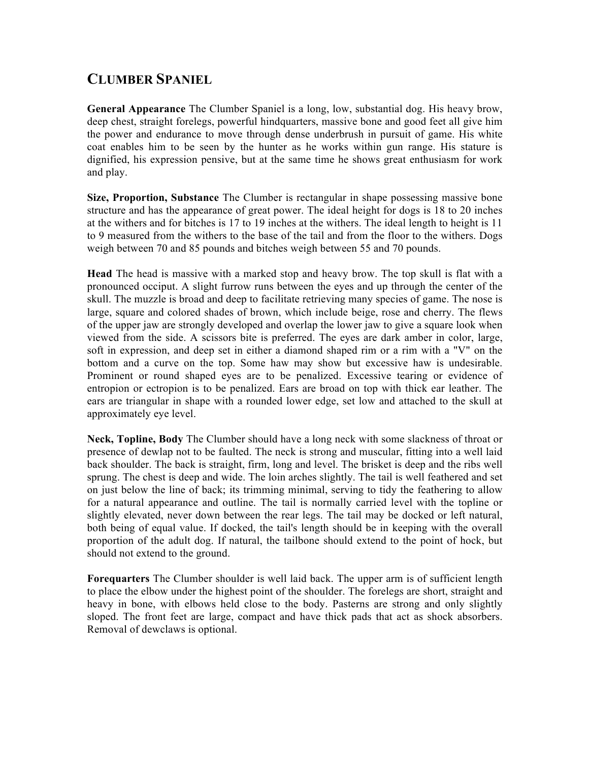## **CLUMBER SPANIEL**

**General Appearance** The Clumber Spaniel is a long, low, substantial dog. His heavy brow, deep chest, straight forelegs, powerful hindquarters, massive bone and good feet all give him the power and endurance to move through dense underbrush in pursuit of game. His white coat enables him to be seen by the hunter as he works within gun range. His stature is dignified, his expression pensive, but at the same time he shows great enthusiasm for work and play.

**Size, Proportion, Substance** The Clumber is rectangular in shape possessing massive bone structure and has the appearance of great power. The ideal height for dogs is 18 to 20 inches at the withers and for bitches is 17 to 19 inches at the withers. The ideal length to height is 11 to 9 measured from the withers to the base of the tail and from the floor to the withers. Dogs weigh between 70 and 85 pounds and bitches weigh between 55 and 70 pounds.

**Head** The head is massive with a marked stop and heavy brow. The top skull is flat with a pronounced occiput. A slight furrow runs between the eyes and up through the center of the skull. The muzzle is broad and deep to facilitate retrieving many species of game. The nose is large, square and colored shades of brown, which include beige, rose and cherry. The flews of the upper jaw are strongly developed and overlap the lower jaw to give a square look when viewed from the side. A scissors bite is preferred. The eyes are dark amber in color, large, soft in expression, and deep set in either a diamond shaped rim or a rim with a "V" on the bottom and a curve on the top. Some haw may show but excessive haw is undesirable. Prominent or round shaped eyes are to be penalized. Excessive tearing or evidence of entropion or ectropion is to be penalized. Ears are broad on top with thick ear leather. The ears are triangular in shape with a rounded lower edge, set low and attached to the skull at approximately eye level.

**Neck, Topline, Body** The Clumber should have a long neck with some slackness of throat or presence of dewlap not to be faulted. The neck is strong and muscular, fitting into a well laid back shoulder. The back is straight, firm, long and level. The brisket is deep and the ribs well sprung. The chest is deep and wide. The loin arches slightly. The tail is well feathered and set on just below the line of back; its trimming minimal, serving to tidy the feathering to allow for a natural appearance and outline. The tail is normally carried level with the topline or slightly elevated, never down between the rear legs. The tail may be docked or left natural, both being of equal value. If docked, the tail's length should be in keeping with the overall proportion of the adult dog. If natural, the tailbone should extend to the point of hock, but should not extend to the ground.

**Forequarters** The Clumber shoulder is well laid back. The upper arm is of sufficient length to place the elbow under the highest point of the shoulder. The forelegs are short, straight and heavy in bone, with elbows held close to the body. Pasterns are strong and only slightly sloped. The front feet are large, compact and have thick pads that act as shock absorbers. Removal of dewclaws is optional.